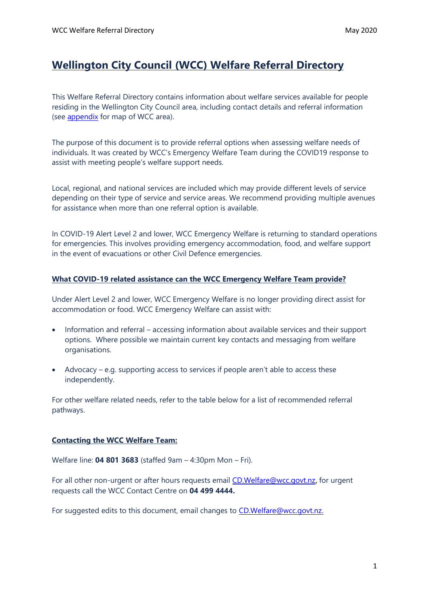## **Wellington City Council (WCC) Welfare Referral Directory**

This Welfare Referral Directory contains information about welfare services available for people residing in the Wellington City Council area, including contact details and referral information (see [appendix](#page-10-0) for map of WCC area).

The purpose of this document is to provide referral options when assessing welfare needs of individuals. It was created by WCC's Emergency Welfare Team during the COVID19 response to assist with meeting people's welfare support needs.

Local, regional, and national services are included which may provide different levels of service depending on their type of service and service areas. We recommend providing multiple avenues for assistance when more than one referral option is available.

In COVID-19 Alert Level 2 and lower, WCC Emergency Welfare is returning to standard operations for emergencies. This involves providing emergency accommodation, food, and welfare support in the event of evacuations or other Civil Defence emergencies.

## **What COVID-19 related assistance can the WCC Emergency Welfare Team provide?**

Under Alert Level 2 and lower, WCC Emergency Welfare is no longer providing direct assist for accommodation or food. WCC Emergency Welfare can assist with:

- Information and referral accessing information about available services and their support options. Where possible we maintain current key contacts and messaging from welfare organisations.
- Advocacy e.g. supporting access to services if people aren't able to access these independently.

For other welfare related needs, refer to the table below for a list of recommended referral pathways.

## **Contacting the WCC Welfare Team:**

Welfare line: **04 801 3683** (staffed 9am – 4:30pm Mon – Fri).

For all other non-urgent or after hours requests email [CD.Welfare@wcc.govt.nz](mailto:CD.Welfare@wcc.govt.nz), for urgent requests call the WCC Contact Centre on **04 499 4444.**

For suggested edits to this document, email changes to [CD.Welfare@wcc.govt.nz.](mailto:CD.Welfare@wcc.govt.nz)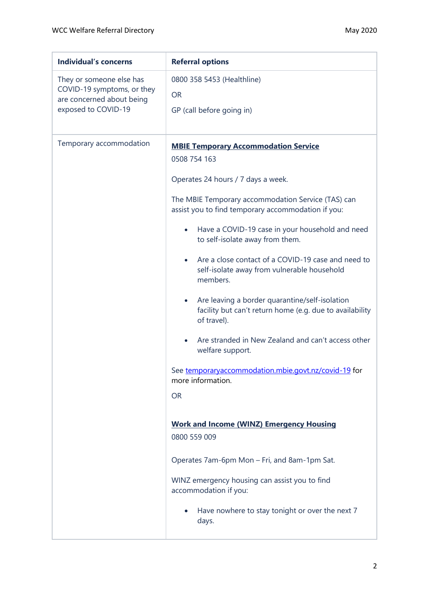| <b>Individual's concerns</b>                                                                               | <b>Referral options</b>                                                                                                                                                                                                                                                                                                                                                                                                                                                                                                                                                                                                                                                                                                                                                                                                                                                                                                                                                                                  |
|------------------------------------------------------------------------------------------------------------|----------------------------------------------------------------------------------------------------------------------------------------------------------------------------------------------------------------------------------------------------------------------------------------------------------------------------------------------------------------------------------------------------------------------------------------------------------------------------------------------------------------------------------------------------------------------------------------------------------------------------------------------------------------------------------------------------------------------------------------------------------------------------------------------------------------------------------------------------------------------------------------------------------------------------------------------------------------------------------------------------------|
| They or someone else has<br>COVID-19 symptoms, or they<br>are concerned about being<br>exposed to COVID-19 | 0800 358 5453 (Healthline)<br><b>OR</b><br>GP (call before going in)                                                                                                                                                                                                                                                                                                                                                                                                                                                                                                                                                                                                                                                                                                                                                                                                                                                                                                                                     |
| Temporary accommodation                                                                                    | <b>MBIE Temporary Accommodation Service</b><br>0508 754 163<br>Operates 24 hours / 7 days a week.<br>The MBIE Temporary accommodation Service (TAS) can<br>assist you to find temporary accommodation if you:<br>Have a COVID-19 case in your household and need<br>to self-isolate away from them.<br>Are a close contact of a COVID-19 case and need to<br>$\bullet$<br>self-isolate away from vulnerable household<br>members.<br>Are leaving a border quarantine/self-isolation<br>$\bullet$<br>facility but can't return home (e.g. due to availability<br>of travel).<br>Are stranded in New Zealand and can't access other<br>welfare support.<br>See temporaryaccommodation.mbie.govt.nz/covid-19 for<br>more information.<br><b>OR</b><br><b>Work and Income (WINZ) Emergency Housing</b><br>0800 559 009<br>Operates 7am-6pm Mon - Fri, and 8am-1pm Sat.<br>WINZ emergency housing can assist you to find<br>accommodation if you:<br>Have nowhere to stay tonight or over the next 7<br>days. |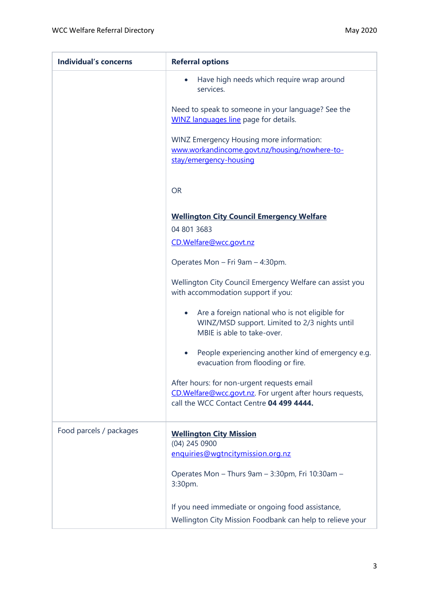| <b>Individual's concerns</b> | <b>Referral options</b>                                                                                                                    |
|------------------------------|--------------------------------------------------------------------------------------------------------------------------------------------|
|                              | Have high needs which require wrap around<br>$\bullet$<br>services.                                                                        |
|                              | Need to speak to someone in your language? See the<br><b>WINZ languages line</b> page for details.                                         |
|                              | WINZ Emergency Housing more information:<br>www.workandincome.govt.nz/housing/nowhere-to-<br>stay/emergency-housing                        |
|                              | <b>OR</b>                                                                                                                                  |
|                              | <b>Wellington City Council Emergency Welfare</b>                                                                                           |
|                              | 04 801 3683                                                                                                                                |
|                              | CD.Welfare@wcc.govt.nz                                                                                                                     |
|                              | Operates Mon - Fri 9am - 4:30pm.                                                                                                           |
|                              | Wellington City Council Emergency Welfare can assist you<br>with accommodation support if you:                                             |
|                              | Are a foreign national who is not eligible for<br>$\bullet$<br>WINZ/MSD support. Limited to 2/3 nights until<br>MBIE is able to take-over. |
|                              | People experiencing another kind of emergency e.g.<br>$\bullet$<br>evacuation from flooding or fire.                                       |
|                              | After hours: for non-urgent requests email                                                                                                 |
|                              | CD. Welfare@wcc.govt.nz. For urgent after hours requests,<br>call the WCC Contact Centre 04 499 4444.                                      |
| Food parcels / packages      | <b>Wellington City Mission</b><br>(04) 245 0900<br>enquiries@wgtncitymission.org.nz                                                        |
|                              | Operates Mon - Thurs 9am - 3:30pm, Fri 10:30am -<br>3:30pm.                                                                                |
|                              | If you need immediate or ongoing food assistance,<br>Wellington City Mission Foodbank can help to relieve your                             |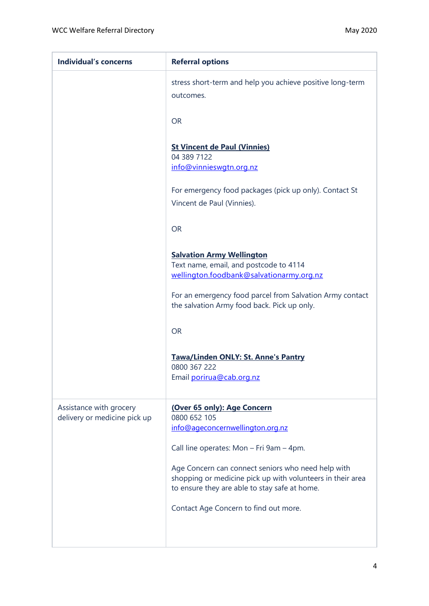| <b>Individual's concerns</b>                            | <b>Referral options</b>                                                                                                                                           |
|---------------------------------------------------------|-------------------------------------------------------------------------------------------------------------------------------------------------------------------|
|                                                         | stress short-term and help you achieve positive long-term<br>outcomes.                                                                                            |
|                                                         | <b>OR</b>                                                                                                                                                         |
|                                                         | <b>St Vincent de Paul (Vinnies)</b><br>04 389 7122<br>info@vinnieswgtn.org.nz                                                                                     |
|                                                         | For emergency food packages (pick up only). Contact St<br>Vincent de Paul (Vinnies).                                                                              |
|                                                         | <b>OR</b>                                                                                                                                                         |
|                                                         | <b>Salvation Army Wellington</b><br>Text name, email, and postcode to 4114<br>wellington.foodbank@salvationarmy.org.nz                                            |
|                                                         | For an emergency food parcel from Salvation Army contact<br>the salvation Army food back. Pick up only.                                                           |
|                                                         | <b>OR</b>                                                                                                                                                         |
|                                                         | Tawa/Linden ONLY: St. Anne's Pantry<br>0800 367 222<br>Email porirua@cab.org.nz                                                                                   |
| Assistance with grocery<br>delivery or medicine pick up | (Over 65 only): Age Concern<br>0800 652 105<br>info@ageconcernwellington.org.nz                                                                                   |
|                                                         | Call line operates: Mon - Fri 9am - 4pm.                                                                                                                          |
|                                                         | Age Concern can connect seniors who need help with<br>shopping or medicine pick up with volunteers in their area<br>to ensure they are able to stay safe at home. |
|                                                         | Contact Age Concern to find out more.                                                                                                                             |
|                                                         |                                                                                                                                                                   |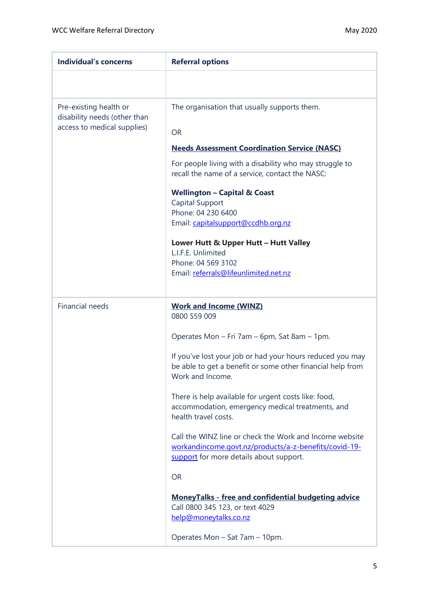| <b>Individual's concerns</b>                           | <b>Referral options</b>                                                                                                                                     |
|--------------------------------------------------------|-------------------------------------------------------------------------------------------------------------------------------------------------------------|
|                                                        |                                                                                                                                                             |
| Pre-existing health or<br>disability needs (other than | The organisation that usually supports them.                                                                                                                |
| access to medical supplies)                            | <b>OR</b>                                                                                                                                                   |
|                                                        | <b>Needs Assessment Coordination Service (NASC)</b>                                                                                                         |
|                                                        | For people living with a disability who may struggle to<br>recall the name of a service, contact the NASC:                                                  |
|                                                        | <b>Wellington - Capital &amp; Coast</b><br><b>Capital Support</b>                                                                                           |
|                                                        | Phone: 04 230 6400<br>Email: capitalsupport@ccdhb.org.nz                                                                                                    |
|                                                        | Lower Hutt & Upper Hutt - Hutt Valley<br>L.I.F.E. Unlimited<br>Phone: 04 569 3102<br>Email: referrals@lifeunlimited.net.nz                                  |
| <b>Financial needs</b>                                 | <b>Work and Income (WINZ)</b><br>0800 559 009                                                                                                               |
|                                                        | Operates Mon - Fri 7am - 6pm, Sat 8am - 1pm.                                                                                                                |
|                                                        | If you've lost your job or had your hours reduced you may<br>be able to get a benefit or some other financial help from<br>Work and Income.                 |
|                                                        | There is help available for urgent costs like: food,<br>accommodation, emergency medical treatments, and<br>health travel costs.                            |
|                                                        | Call the WINZ line or check the Work and Income website<br>workandincome.govt.nz/products/a-z-benefits/covid-19-<br>support for more details about support. |
|                                                        | <b>OR</b>                                                                                                                                                   |
|                                                        | <b>MoneyTalks - free and confidential budgeting advice</b><br>Call 0800 345 123, or text 4029<br>help@moneytalks.co.nz                                      |
|                                                        | Operates Mon - Sat 7am - 10pm.                                                                                                                              |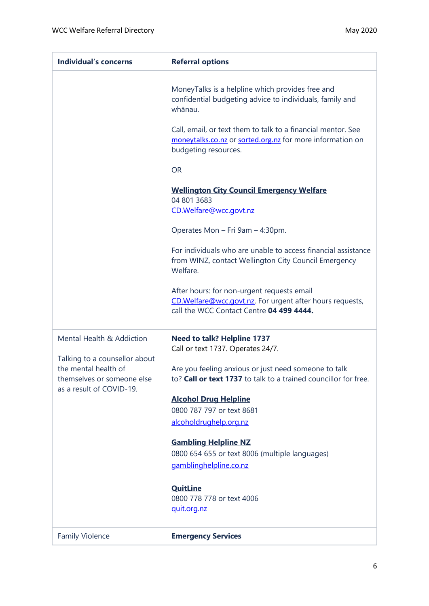| <b>Individual's concerns</b>                                                                                                                 | <b>Referral options</b>                                                                                                                                                                                                                                                                                                                                                                                                                                                                                                                                                                                                                                                                                                |
|----------------------------------------------------------------------------------------------------------------------------------------------|------------------------------------------------------------------------------------------------------------------------------------------------------------------------------------------------------------------------------------------------------------------------------------------------------------------------------------------------------------------------------------------------------------------------------------------------------------------------------------------------------------------------------------------------------------------------------------------------------------------------------------------------------------------------------------------------------------------------|
|                                                                                                                                              | MoneyTalks is a helpline which provides free and<br>confidential budgeting advice to individuals, family and<br>whānau.<br>Call, email, or text them to talk to a financial mentor. See<br>moneytalks.co.nz or sorted.org.nz for more information on<br>budgeting resources.<br><b>OR</b><br><b>Wellington City Council Emergency Welfare</b><br>04 801 3683<br>CD.Welfare@wcc.govt.nz<br>Operates Mon - Fri 9am - 4:30pm.<br>For individuals who are unable to access financial assistance<br>from WINZ, contact Wellington City Council Emergency<br>Welfare.<br>After hours: for non-urgent requests email<br>CD. Welfare@wcc.govt.nz. For urgent after hours requests,<br>call the WCC Contact Centre 04 499 4444. |
| Mental Health & Addiction<br>Talking to a counsellor about<br>the mental health of<br>themselves or someone else<br>as a result of COVID-19. | <b>Need to talk? Helpline 1737</b><br>Call or text 1737. Operates 24/7.<br>Are you feeling anxious or just need someone to talk<br>to? Call or text 1737 to talk to a trained councillor for free.<br><b>Alcohol Drug Helpline</b><br>0800 787 797 or text 8681<br>alcoholdrughelp.org.nz<br><b>Gambling Helpline NZ</b><br>0800 654 655 or text 8006 (multiple languages)<br>gamblinghelpline.co.nz<br><b>QuitLine</b><br>0800 778 778 or text 4006<br>quit.org.nz                                                                                                                                                                                                                                                    |
| <b>Family Violence</b>                                                                                                                       | <b>Emergency Services</b>                                                                                                                                                                                                                                                                                                                                                                                                                                                                                                                                                                                                                                                                                              |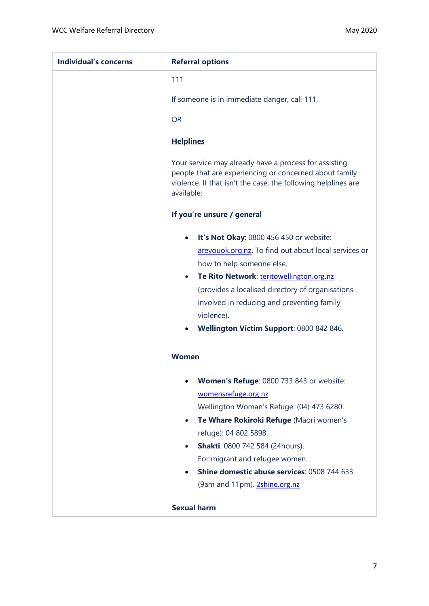| <b>Individual's concerns</b> | <b>Referral options</b>                                                                                                                                                                        |
|------------------------------|------------------------------------------------------------------------------------------------------------------------------------------------------------------------------------------------|
|                              | 111                                                                                                                                                                                            |
|                              | If someone is in immediate danger, call 111.                                                                                                                                                   |
|                              |                                                                                                                                                                                                |
|                              | <b>OR</b>                                                                                                                                                                                      |
|                              | <b>Helplines</b>                                                                                                                                                                               |
|                              | Your service may already have a process for assisting<br>people that are experiencing or concerned about family<br>violence. If that isn't the case, the following helplines are<br>available: |
|                              | If you're unsure / general                                                                                                                                                                     |
|                              | It's Not Okay: 0800 456 450 or website:<br>$\bullet$                                                                                                                                           |
|                              | areyouok.org.nz. To find out about local services or                                                                                                                                           |
|                              | how to help someone else.                                                                                                                                                                      |
|                              | Te Rito Network: teritowellington.org.nz<br>$\bullet$                                                                                                                                          |
|                              | (provides a localised directory of organisations                                                                                                                                               |
|                              | involved in reducing and preventing family                                                                                                                                                     |
|                              | violence).                                                                                                                                                                                     |
|                              | Wellington Victim Support: 0800 842 846.<br>$\bullet$                                                                                                                                          |
|                              | <b>Women</b>                                                                                                                                                                                   |
|                              | Women's Refuge: 0800 733 843 or website:                                                                                                                                                       |
|                              | womensrefuge.org.nz                                                                                                                                                                            |
|                              | Wellington Woman's Refuge: (04) 473 6280.                                                                                                                                                      |
|                              | Te Whare Rokiroki Refuge (Māori women's<br>$\bullet$                                                                                                                                           |
|                              | refuge): 04 802 5898.                                                                                                                                                                          |
|                              | Shakti: 0800 742 584 (24hours).<br>$\bullet$                                                                                                                                                   |
|                              | For migrant and refugee women.                                                                                                                                                                 |
|                              | Shine domestic abuse services: 0508 744 633                                                                                                                                                    |
|                              | (9am and 11pm). 2shine.org.nz                                                                                                                                                                  |
|                              | <b>Sexual harm</b>                                                                                                                                                                             |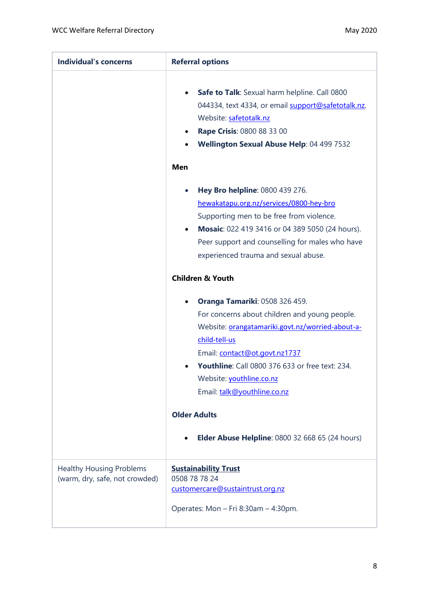| <b>Individual's concerns</b>                                      | <b>Referral options</b>                                                                                                                                                                                                                                                                                                                                                                            |
|-------------------------------------------------------------------|----------------------------------------------------------------------------------------------------------------------------------------------------------------------------------------------------------------------------------------------------------------------------------------------------------------------------------------------------------------------------------------------------|
|                                                                   | Safe to Talk: Sexual harm helpline. Call 0800<br>044334, text 4334, or email support@safetotalk.nz.<br>Website: safetotalk.nz<br>Rape Crisis: 0800 88 33 00<br>Wellington Sexual Abuse Help: 04 499 7532                                                                                                                                                                                           |
|                                                                   | Men                                                                                                                                                                                                                                                                                                                                                                                                |
|                                                                   | Hey Bro helpline: 0800 439 276.<br>$\bullet$<br>hewakatapu.org.nz/services/0800-hey-bro<br>Supporting men to be free from violence.<br>Mosaic: 022 419 3416 or 04 389 5050 (24 hours).<br>$\bullet$<br>Peer support and counselling for males who have<br>experienced trauma and sexual abuse.                                                                                                     |
|                                                                   | <b>Children &amp; Youth</b>                                                                                                                                                                                                                                                                                                                                                                        |
|                                                                   | <b>Oranga Tamariki: 0508 326 459.</b><br>For concerns about children and young people.<br>Website: orangatamariki.govt.nz/worried-about-a-<br>child-tell-us<br>Email: contact@ot.govt.nz1737<br><b>Youthline: Call 0800 376 633 or free text: 234.</b><br>Website: youthline.co.nz<br>Email: talk@youthline.co.nz<br><b>Older Adults</b><br><b>Elder Abuse Helpline: 0800 32 668 65 (24 hours)</b> |
| <b>Healthy Housing Problems</b><br>(warm, dry, safe, not crowded) | <b>Sustainability Trust</b><br>0508 78 78 24<br>customercare@sustaintrust.org.nz<br>Operates: Mon - Fri 8:30am - 4:30pm.                                                                                                                                                                                                                                                                           |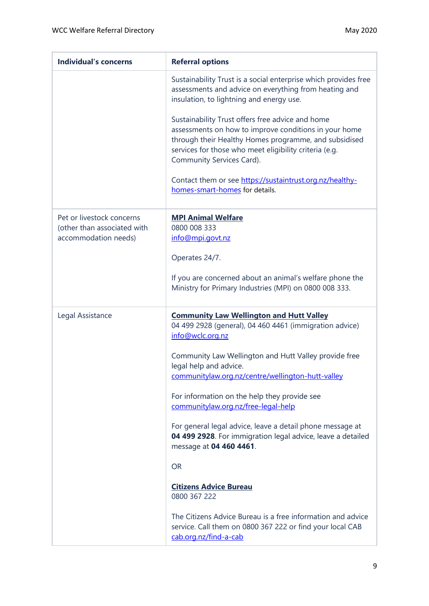| <b>Individual's concerns</b>                                                     | <b>Referral options</b>                                                                                                                                                                                                                                                                                                                                 |
|----------------------------------------------------------------------------------|---------------------------------------------------------------------------------------------------------------------------------------------------------------------------------------------------------------------------------------------------------------------------------------------------------------------------------------------------------|
|                                                                                  | Sustainability Trust is a social enterprise which provides free<br>assessments and advice on everything from heating and<br>insulation, to lightning and energy use.                                                                                                                                                                                    |
|                                                                                  | Sustainability Trust offers free advice and home<br>assessments on how to improve conditions in your home<br>through their Healthy Homes programme, and subsidised<br>services for those who meet eligibility criteria (e.g.<br>Community Services Card).<br>Contact them or see https://sustaintrust.org.nz/healthy-<br>homes-smart-homes for details. |
|                                                                                  |                                                                                                                                                                                                                                                                                                                                                         |
| Pet or livestock concerns<br>(other than associated with<br>accommodation needs) | <b>MPI Animal Welfare</b><br>0800 008 333<br>info@mpi.govt.nz<br>Operates 24/7.<br>If you are concerned about an animal's welfare phone the<br>Ministry for Primary Industries (MPI) on 0800 008 333.                                                                                                                                                   |
|                                                                                  |                                                                                                                                                                                                                                                                                                                                                         |
| Legal Assistance                                                                 | <b>Community Law Wellington and Hutt Valley</b><br>04 499 2928 (general), 04 460 4461 (immigration advice)<br>info@wclc.org.nz                                                                                                                                                                                                                          |
|                                                                                  | Community Law Wellington and Hutt Valley provide free<br>legal help and advice.<br>communitylaw.org.nz/centre/wellington-hutt-valley                                                                                                                                                                                                                    |
|                                                                                  |                                                                                                                                                                                                                                                                                                                                                         |
|                                                                                  | For information on the help they provide see<br>communitylaw.org.nz/free-legal-help                                                                                                                                                                                                                                                                     |
|                                                                                  | For general legal advice, leave a detail phone message at<br>04 499 2928. For immigration legal advice, leave a detailed<br>message at 04 460 4461.                                                                                                                                                                                                     |
|                                                                                  | <b>OR</b>                                                                                                                                                                                                                                                                                                                                               |
|                                                                                  | <b>Citizens Advice Bureau</b><br>0800 367 222                                                                                                                                                                                                                                                                                                           |
|                                                                                  | The Citizens Advice Bureau is a free information and advice<br>service. Call them on 0800 367 222 or find your local CAB<br>cab.org.nz/find-a-cab                                                                                                                                                                                                       |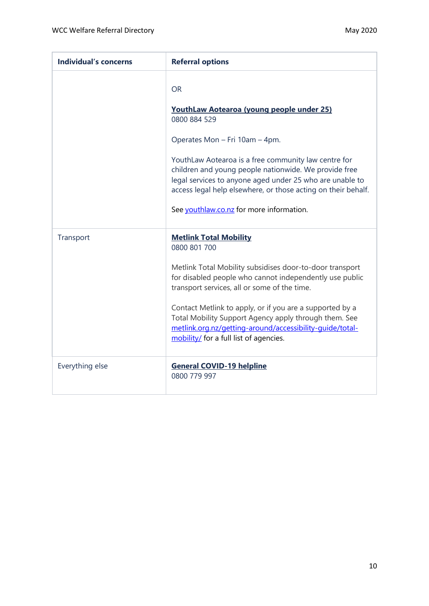| <b>Individual's concerns</b> | <b>Referral options</b>                                                                                                                                                                                                                    |
|------------------------------|--------------------------------------------------------------------------------------------------------------------------------------------------------------------------------------------------------------------------------------------|
|                              | <b>OR</b>                                                                                                                                                                                                                                  |
|                              | YouthLaw Aotearoa (young people under 25)<br>0800 884 529                                                                                                                                                                                  |
|                              | Operates Mon - Fri 10am - 4pm.                                                                                                                                                                                                             |
|                              | YouthLaw Aotearoa is a free community law centre for<br>children and young people nationwide. We provide free<br>legal services to anyone aged under 25 who are unable to<br>access legal help elsewhere, or those acting on their behalf. |
|                              | See youthlaw.co.nz for more information.                                                                                                                                                                                                   |
| Transport                    | <b>Metlink Total Mobility</b><br>0800 801 700                                                                                                                                                                                              |
|                              | Metlink Total Mobility subsidises door-to-door transport<br>for disabled people who cannot independently use public<br>transport services, all or some of the time.                                                                        |
|                              | Contact Metlink to apply, or if you are a supported by a<br>Total Mobility Support Agency apply through them. See<br>metlink.org.nz/getting-around/accessibility-quide/total-<br>mobility/ for a full list of agencies.                    |
| Everything else              | <b>General COVID-19 helpline</b><br>0800 779 997                                                                                                                                                                                           |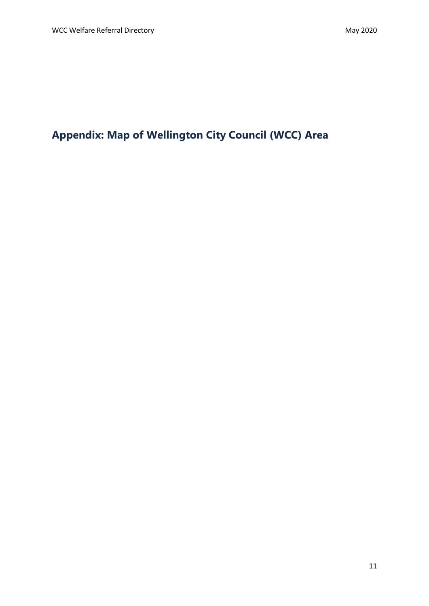<span id="page-10-0"></span>**Appendix: Map of Wellington City Council (WCC) Area**